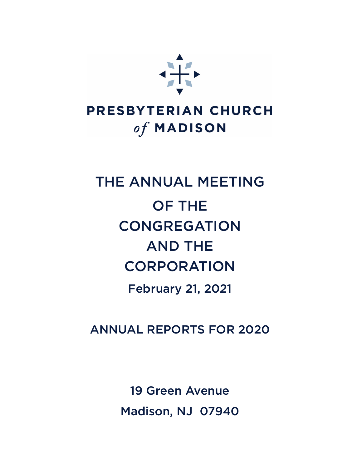

## PRESBYTERIAN CHURCH of MADISON

# THE ANNUAL MEETING OF THE **CONGREGATION** AND THE **CORPORATION**

February 21, 2021

ANNUAL REPORTS FOR 2020

19 Green Avenue Madison, NJ 07940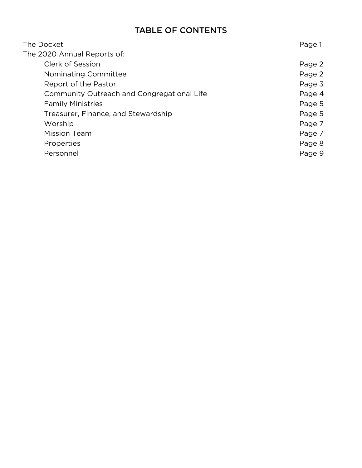#### TABLE OF CONTENTS

| The Docket                                 | Page 1 |
|--------------------------------------------|--------|
| The 2020 Annual Reports of:                |        |
| Clerk of Session                           | Page 2 |
| Nominating Committee                       | Page 2 |
| Report of the Pastor                       | Page 3 |
| Community Outreach and Congregational Life | Page 4 |
| <b>Family Ministries</b>                   | Page 5 |
| Treasurer, Finance, and Stewardship        | Page 5 |
| Worship                                    | Page 7 |
| <b>Mission Team</b>                        | Page 7 |
| Properties                                 | Page 8 |
| Personnel                                  | Page 9 |
|                                            |        |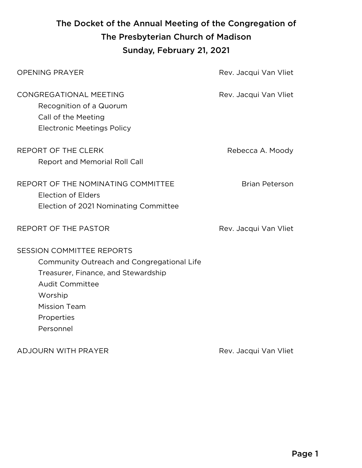### The Docket of the Annual Meeting of the Congregation of The Presbyterian Church of Madison Sunday, February 21, 2021

| <b>OPENING PRAYER</b>                                                                                                                                                                                        | Rev. Jacqui Van Vliet |
|--------------------------------------------------------------------------------------------------------------------------------------------------------------------------------------------------------------|-----------------------|
| CONGREGATIONAL MEETING<br>Recognition of a Quorum<br>Call of the Meeting<br><b>Electronic Meetings Policy</b>                                                                                                | Rev. Jacqui Van Vliet |
| <b>REPORT OF THE CLERK</b><br><b>Report and Memorial Roll Call</b>                                                                                                                                           | Rebecca A. Moody      |
| REPORT OF THE NOMINATING COMMITTEE<br><b>Election of Elders</b><br>Election of 2021 Nominating Committee                                                                                                     | <b>Brian Peterson</b> |
| REPORT OF THE PASTOR                                                                                                                                                                                         | Rev. Jacqui Van Vliet |
| <b>SESSION COMMITTEE REPORTS</b><br>Community Outreach and Congregational Life<br>Treasurer, Finance, and Stewardship<br><b>Audit Committee</b><br>Worship<br><b>Mission Team</b><br>Properties<br>Personnel |                       |

ADJOURN WITH PRAYER Rev. Jacqui Van Vliet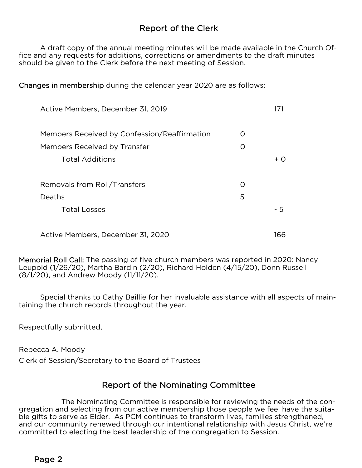#### Report of the Clerk

 A draft copy of the annual meeting minutes will be made available in the Church Office and any requests for additions, corrections or amendments to the draft minutes should be given to the Clerk before the next meeting of Session.

Changes in membership during the calendar year 2020 are as follows:

| Active Members, December 31, 2019            |                  |              |
|----------------------------------------------|------------------|--------------|
| Members Received by Confession/Reaffirmation | $\bigcirc$       |              |
| Members Received by Transfer                 | $\left( \right)$ |              |
| <b>Total Additions</b>                       |                  | $+$ $\Omega$ |
| Removals from Roll/Transfers                 | $\left( \right)$ |              |
| Deaths                                       | 5                |              |
| <b>Total Losses</b>                          |                  | - 5          |
| Active Members, December 31, 2020            |                  | 166          |

Memorial Roll Call: The passing of five church members was reported in 2020: Nancy Leupold (1/26/20), Martha Bardin (2/20), Richard Holden (4/15/20), Donn Russell (8/1/20), and Andrew Moody (11/11/20).

 Special thanks to Cathy Baillie for her invaluable assistance with all aspects of maintaining the church records throughout the year.

Respectfully submitted,

Rebecca A. Moody

Clerk of Session/Secretary to the Board of Trustees

#### Report of the Nominating Committee

 The Nominating Committee is responsible for reviewing the needs of the congregation and selecting from our active membership those people we feel have the suitable gifts to serve as Elder. As PCM continues to transform lives, families strengthened, and our community renewed through our intentional relationship with Jesus Christ, we're committed to electing the best leadership of the congregation to Session.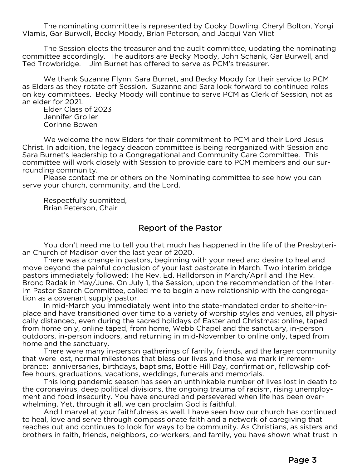The nominating committee is represented by Cooky Dowling, Cheryl Bolton, Yorgi Vlamis, Gar Burwell, Becky Moody, Brian Peterson, and Jacqui Van Vliet

The Session elects the treasurer and the audit committee, updating the nominating committee accordingly. The auditors are Becky Moody, John Schank, Gar Burwell, and Ted Trowbridge. Jim Burnet has offered to serve as PCM's treasurer.

We thank Suzanne Flynn, Sara Burnet, and Becky Moody for their service to PCM as Elders as they rotate off Session. Suzanne and Sara look forward to continued roles on key committees. Becky Moody will continue to serve PCM as Clerk of Session, not as an elder for 2021.

Elder Class of 2023 Jennifer Groller Corinne Bowen

We welcome the new Elders for their commitment to PCM and their Lord Jesus Christ. In addition, the legacy deacon committee is being reorganized with Session and Sara Burnet's leadership to a Congregational and Community Care Committee. This committee will work closely with Session to provide care to PCM members and our surrounding community.

Please contact me or others on the Nominating committee to see how you can serve your church, community, and the Lord.

Respectfully submitted, Brian Peterson, Chair

#### Report of the Pastor

 You don't need me to tell you that much has happened in the life of the Presbyterian Church of Madison over the last year of 2020.

 There was a change in pastors, beginning with your need and desire to heal and move beyond the painful conclusion of your last pastorate in March. Two interim bridge pastors immediately followed: The Rev. Ed. Halldorson in March/April and The Rev. Bronc Radak in May/June. On July 1, the Session, upon the recommendation of the Interim Pastor Search Committee, called me to begin a new relationship with the congregation as a covenant supply pastor.

 In mid-March you immediately went into the state-mandated order to shelter-inplace and have transitioned over time to a variety of worship styles and venues, all physically distanced, even during the sacred holidays of Easter and Christmas: online, taped from home only, online taped, from home, Webb Chapel and the sanctuary, in-person outdoors, in-person indoors, and returning in mid-November to online only, taped from home and the sanctuary.

 There were many in-person gatherings of family, friends, and the larger community that were lost, normal milestones that bless our lives and those we mark in remembrance: anniversaries, birthdays, baptisms, Bottle Hill Day, confirmation, fellowship coffee hours, graduations, vacations, weddings, funerals and memorials.

 This long pandemic season has seen an unthinkable number of lives lost in death to the coronavirus, deep political divisions, the ongoing trauma of racism, rising unemployment and food insecurity. You have endured and persevered when life has been overwhelming. Yet, through it all, we can proclaim God is faithful.

 And I marvel at your faithfulness as well. I have seen how our church has continued to heal, love and serve through compassionate faith and a network of caregiving that reaches out and continues to look for ways to be community. As Christians, as sisters and brothers in faith, friends, neighbors, co-workers, and family, you have shown what trust in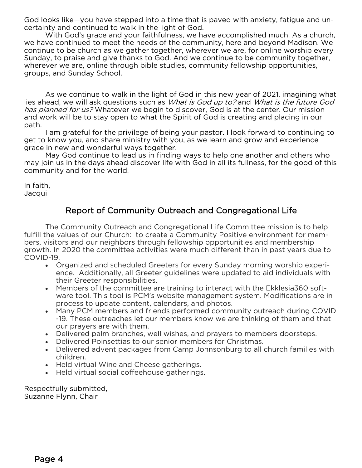God looks like—you have stepped into a time that is paved with anxiety, fatigue and uncertainty and continued to walk in the light of God.

 With God's grace and your faithfulness, we have accomplished much. As a church, we have continued to meet the needs of the community, here and beyond Madison. We continue to be church as we gather together, wherever we are, for online worship every Sunday, to praise and give thanks to God. And we continue to be community together, wherever we are, online through bible studies, community fellowship opportunities, groups, and Sunday School.

 As we continue to walk in the light of God in this new year of 2021, imagining what lies ahead, we will ask questions such as *What is God up to?* and *What is the future God* has planned for us? Whatever we begin to discover, God is at the center. Our mission and work will be to stay open to what the Spirit of God is creating and placing in our path.

 I am grateful for the privilege of being your pastor. I look forward to continuing to get to know you, and share ministry with you, as we learn and grow and experience grace in new and wonderful ways together.

 May God continue to lead us in finding ways to help one another and others who may join us in the days ahead discover life with God in all its fullness, for the good of this community and for the world.

In faith, Jacqui

#### Report of Community Outreach and Congregational Life

 The Community Outreach and Congregational Life Committee mission is to help fulfill the values of our Church: to create a Community Positive environment for members, visitors and our neighbors through fellowship opportunities and membership growth. In 2020 the committee activities were much different than in past years due to COVID-19.

- Organized and scheduled Greeters for every Sunday morning worship experience. Additionally, all Greeter guidelines were updated to aid individuals with their Greeter responsibilities.
- Members of the committee are training to interact with the Ekklesia360 software tool. This tool is PCM's website management system. Modifications are in process to update content, calendars, and photos.
- Many PCM members and friends performed community outreach during COVID -19. These outreaches let our members know we are thinking of them and that our prayers are with them.
- Delivered palm branches, well wishes, and prayers to members doorsteps.
- Delivered Poinsettias to our senior members for Christmas.
- Delivered advent packages from Camp Johnsonburg to all church families with children.
- Held virtual Wine and Cheese gatherings.
- Held virtual social coffeehouse gatherings.

Respectfully submitted, Suzanne Flynn, Chair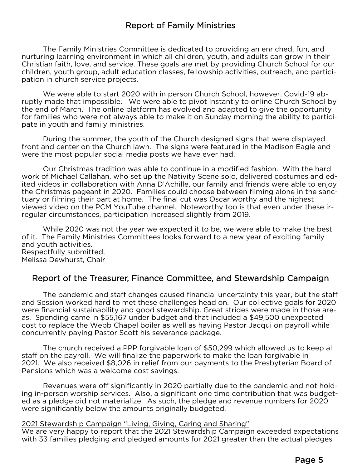#### Report of Family Ministries

The Family Ministries Committee is dedicated to providing an enriched, fun, and nurturing learning environment in which all children, youth, and adults can grow in their Christian faith, love, and service. These goals are met by providing Church School for our children, youth group, adult education classes, fellowship activities, outreach, and participation in church service projects.

 We were able to start 2020 with in person Church School, however, Covid-19 abruptly made that impossible. We were able to pivot instantly to online Church School by the end of March. The online platform has evolved and adapted to give the opportunity for families who were not always able to make it on Sunday morning the ability to participate in youth and family ministries.

 During the summer, the youth of the Church designed signs that were displayed front and center on the Church lawn. The signs were featured in the Madison Eagle and were the most popular social media posts we have ever had.

 Our Christmas tradition was able to continue in a modified fashion. With the hard work of Michael Callahan, who set up the Nativity Scene solo, delivered costumes and edited videos in collaboration with Anna D'Achille, our family and friends were able to enjoy the Christmas pageant in 2020. Families could choose between filming alone in the sanctuary or filming their part at home. The final cut was Oscar worthy and the highest viewed video on the PCM YouTube channel. Noteworthy too is that even under these irregular circumstances, participation increased slightly from 2019.

 While 2020 was not the year we expected it to be, we were able to make the best of it. The Family Ministries Committees looks forward to a new year of exciting family and youth activities. Respectfully submitted, Melissa Dewhurst, Chair

#### Report of the Treasurer, Finance Committee, and Stewardship Campaign

 The pandemic and staff changes caused financial uncertainty this year, but the staff and Session worked hard to met these challenges head on. Our collective goals for 2020 were financial sustainability and good stewardship. Great strides were made in those areas. Spending came in \$55,167 under budget and that included a \$49,500 unexpected cost to replace the Webb Chapel boiler as well as having Pastor Jacqui on payroll while concurrently paying Pastor Scott his severance package.

 The church received a PPP forgivable loan of \$50,299 which allowed us to keep all staff on the payroll. We will finalize the paperwork to make the loan forgivable in 2021. We also received \$8,026 in relief from our payments to the Presbyterian Board of Pensions which was a welcome cost savings.

 Revenues were off significantly in 2020 partially due to the pandemic and not holding in-person worship services. Also, a significant one time contribution that was budgeted as a pledge did not materialize. As such, the pledge and revenue numbers for 2020 were significantly below the amounts originally budgeted.

#### 2021 Stewardship Campaign "Living, Giving, Caring and Sharing"

We are very happy to report that the 2021 Stewardship Campaign exceeded expectations with 33 families pledging and pledged amounts for 2021 greater than the actual pledges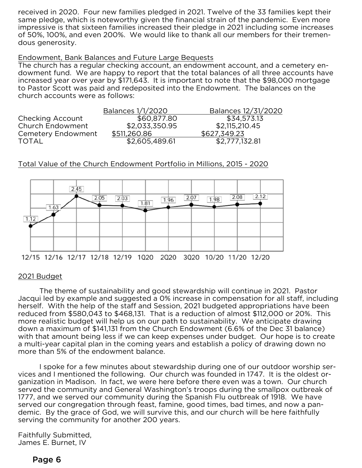received in 2020. Four new families pledged in 2021. Twelve of the 33 families kept their same pledge, which is noteworthy given the financial strain of the pandemic. Even more impressive is that sixteen families increased their pledge in 2021 including some increases of 50%, 100%, and even 200%. We would like to thank all our members for their tremendous generosity.

#### Endowment, Bank Balances and Future Large Bequests

The church has a regular checking account, an endowment account, and a cemetery endowment fund. We are happy to report that the total balances of all three accounts have increased year over year by \$171,643. It is important to note that the \$98,000 mortgage to Pastor Scott was paid and redeposited into the Endowment. The balances on the church accounts were as follows:

|                         | Balances 1/1/2020 | Balances 12/31/2020 |
|-------------------------|-------------------|---------------------|
| Checking Account        | \$60,877.80       | \$34,573.13         |
| <b>Church Endowment</b> | \$2,033,350.95    | \$2,115,210.45      |
| Cemetery Endowment      | \$511,260.86      | \$627,349.23        |
| <b>TOTAL</b>            | \$2,605,489.61    | \$2,777,132.81      |

#### Total Value of the Church Endowment Portfolio in Millions, 2015 - 2020



#### 2021 Budget

 The theme of sustainability and good stewardship will continue in 2021. Pastor Jacqui led by example and suggested a 0% increase in compensation for all staff, including herself. With the help of the staff and Session, 2021 budgeted appropriations have been reduced from \$580,043 to \$468,131. That is a reduction of almost \$112,000 or 20%. This more realistic budget will help us on our path to sustainability. We anticipate drawing down a maximum of \$141,131 from the Church Endowment (6.6% of the Dec 31 balance) with that amount being less if we can keep expenses under budget. Our hope is to create a multi-year capital plan in the coming years and establish a policy of drawing down no more than 5% of the endowment balance.

 I spoke for a few minutes about stewardship during one of our outdoor worship services and I mentioned the following. Our church was founded in 1747. It is the oldest organization in Madison. In fact, we were here before there even was a town. Our church served the community and General Washington's troops during the smallpox outbreak of 1777, and we served our community during the Spanish Flu outbreak of 1918. We have served our congregation through feast, famine, good times, bad times, and now a pandemic. By the grace of God, we will survive this, and our church will be here faithfully serving the community for another 200 years.

Faithfully Submitted, James E. Burnet, IV

#### Page 6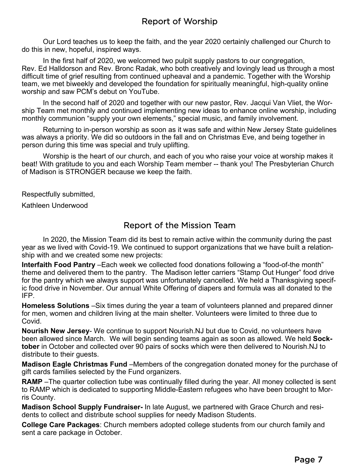Our Lord teaches us to keep the faith, and the year 2020 certainly challenged our Church to do this in new, hopeful, inspired ways.

 In the first half of 2020, we welcomed two pulpit supply pastors to our congregation, Rev. Ed Halldorson and Rev. Bronc Radak, who both creatively and lovingly lead us through a most difficult time of grief resulting from continued upheaval and a pandemic. Together with the Worship team, we met biweekly and developed the foundation for spiritually meaningful, high-quality online worship and saw PCM's debut on YouTube.

 In the second half of 2020 and together with our new pastor, Rev. Jacqui Van Vliet, the Worship Team met monthly and continued implementing new ideas to enhance online worship, including monthly communion "supply your own elements," special music, and family involvement.

 Returning to in-person worship as soon as it was safe and within New Jersey State guidelines was always a priority. We did so outdoors in the fall and on Christmas Eve, and being together in person during this time was special and truly uplifting.

 Worship is the heart of our church, and each of you who raise your voice at worship makes it beat! With gratitude to you and each Worship Team member -- thank you! The Presbyterian Church of Madison is STRONGER because we keep the faith.

Respectfully submitted,

Kathleen Underwood

#### Report of the Mission Team

 In 2020, the Mission Team did its best to remain active within the community during the past year as we lived with Covid-19. We continued to support organizations that we have built a relationship with and we created some new projects:

**Interfaith Food Pantry** –Each week we collected food donations following a "food-of-the month" theme and delivered them to the pantry. The Madison letter carriers "Stamp Out Hunger" food drive for the pantry which we always support was unfortunately cancelled. We held a Thanksgiving specific food drive in November. Our annual White Offering of diapers and formula was all donated to the IFP.

**Homeless Solutions** –Six times during the year a team of volunteers planned and prepared dinner for men, women and children living at the main shelter. Volunteers were limited to three due to Covid.

**Nourish New Jersey**- We continue to support Nourish.NJ but due to Covid, no volunteers have been allowed since March. We will begin sending teams again as soon as allowed. We held **Socktober** in October and collected over 90 pairs of socks which were then delivered to Nourish.NJ to distribute to their guests.

**Madison Eagle Christmas Fund** –Members of the congregation donated money for the purchase of gift cards families selected by the Fund organizers.

**RAMP** –The quarter collection tube was continually filled during the year. All money collected is sent to RAMP which is dedicated to supporting Middle-Eastern refugees who have been brought to Morris County.

**Madison School Supply Fundraiser-** In late August, we partnered with Grace Church and residents to collect and distribute school supplies for needy Madison Students.

**College Care Packages**: Church members adopted college students from our church family and sent a care package in October.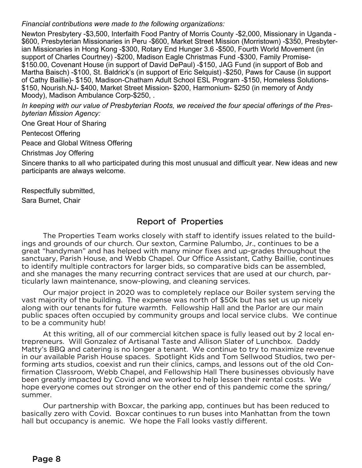*Financial contributions were made to the following organizations:* 

Newton Presbytery -\$3,500, Interfaith Food Pantry of Morris County -\$2,000, Missionary in Uganda - \$600, Presbyterian Missionaries in Peru -\$600, Market Street Mission (Morristown) -\$350, Presbyterian Missionaries in Hong Kong -\$300, Rotary End Hunger 3.6 -\$500, Fourth World Movement (in support of Charles Courtney) -\$200, Madison Eagle Christmas Fund -\$300, Family Promise- \$150.00, Covenant House (in support of David DePaul) -\$150, JAG Fund (in support of Bob and Martha Baisch) -\$100, St. Baldrick's (in support of Eric Selquist) -\$250, Paws for Cause (in support of Cathy Baillie)- \$150, Madison-Chatham Adult School ESL Program -\$150, Homeless Solutions- \$150, Nourish.NJ- \$400, Market Street Mission- \$200, Harmonium- \$250 (in memory of Andy Moody), Madison Ambulance Corp-\$250, .

*In keeping with our value of Presbyterian Roots, we received the four special offerings of the Presbyterian Mission Agency:* 

One Great Hour of Sharing

Pentecost Offering

Peace and Global Witness Offering

Christmas Joy Offering

Sincere thanks to all who participated during this most unusual and difficult year. New ideas and new participants are always welcome.

Respectfully submitted,

Sara Burnet, Chair

#### Report of Properties

 The Properties Team works closely with staff to identify issues related to the buildings and grounds of our church. Our sexton, Carmine Palumbo, Jr., continues to be a great "handyman" and has helped with many minor fixes and up-grades throughout the sanctuary, Parish House, and Webb Chapel. Our Office Assistant, Cathy Baillie, continues to identify multiple contractors for larger bids, so comparative bids can be assembled, and she manages the many recurring contract services that are used at our church, particularly lawn maintenance, snow-plowing, and cleaning services.

 Our major project in 2020 was to completely replace our Boiler system serving the vast majority of the building. The expense was north of \$50k but has set us up nicely along with our tenants for future warmth. Fellowship Hall and the Parlor are our main public spaces often occupied by community groups and local service clubs. We continue to be a community hub!

 At this writing, all of our commercial kitchen space is fully leased out by 2 local entrepreneurs. Will Gonzalez of Artisanal Taste and Allison Slater of Lunchbox. Daddy Matty's BBQ and catering is no longer a tenant. We continue to try to maximize revenue in our available Parish House spaces. Spotlight Kids and Tom Sellwood Studios, two performing arts studios, coexist and run their clinics, camps, and lessons out of the old Confirmation Classroom, Webb Chapel, and Fellowship Hall There businesses obviously have been greatly impacted by Covid and we worked to help lessen their rental costs. We hope everyone comes out stronger on the other end of this pandemic come the spring/ summer.

 Our partnership with Boxcar, the parking app, continues but has been reduced to basically zero with Covid. Boxcar continues to run buses into Manhattan from the town hall but occupancy is anemic. We hope the Fall looks vastly different.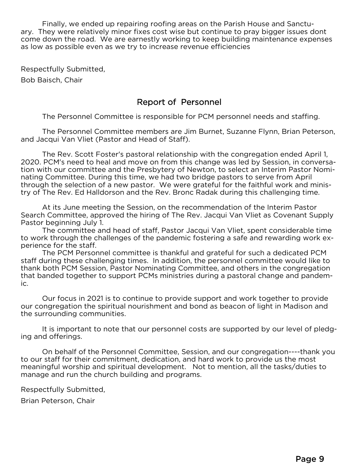Finally, we ended up repairing roofing areas on the Parish House and Sanctuary. They were relatively minor fixes cost wise but continue to pray bigger issues dont come down the road. We are earnestly working to keep building maintenance expenses as low as possible even as we try to increase revenue efficiencies

Respectfully Submitted,

Bob Baisch, Chair

#### Report of Personnel

The Personnel Committee is responsible for PCM personnel needs and staffing.

The Personnel Committee members are Jim Burnet, Suzanne Flynn, Brian Peterson, and Jacqui Van Vliet (Pastor and Head of Staff).

The Rev. Scott Foster's pastoral relationship with the congregation ended April 1, 2020. PCM's need to heal and move on from this change was led by Session, in conversation with our committee and the Presbytery of Newton, to select an Interim Pastor Nominating Committee. During this time, we had two bridge pastors to serve from April through the selection of a new pastor. We were grateful for the faithful work and ministry of The Rev. Ed Halldorson and the Rev. Bronc Radak during this challenging time.

At its June meeting the Session, on the recommendation of the Interim Pastor Search Committee, approved the hiring of The Rev. Jacqui Van Vliet as Covenant Supply Pastor beginning July 1.

The committee and head of staff, Pastor Jacqui Van Vliet, spent considerable time to work through the challenges of the pandemic fostering a safe and rewarding work experience for the staff.

The PCM Personnel committee is thankful and grateful for such a dedicated PCM staff during these challenging times. In addition, the personnel committee would like to thank both PCM Session, Pastor Nominating Committee, and others in the congregation that banded together to support PCMs ministries during a pastoral change and pandemic.

Our focus in 2021 is to continue to provide support and work together to provide our congregation the spiritual nourishment and bond as beacon of light in Madison and the surrounding communities.

It is important to note that our personnel costs are supported by our level of pledging and offerings.

On behalf of the Personnel Committee, Session, and our congregation----thank you to our staff for their commitment, dedication, and hard work to provide us the most meaningful worship and spiritual development. Not to mention, all the tasks/duties to manage and run the church building and programs.

Respectfully Submitted,

Brian Peterson, Chair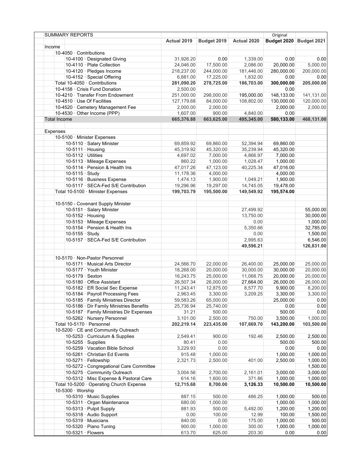|        | <b>SUMMARY REPORTS</b>                   |             |             |             | Original   |                                  |
|--------|------------------------------------------|-------------|-------------|-------------|------------|----------------------------------|
|        |                                          | Actual 2019 | Budget 2019 | Actual 2020 |            | <b>Budget 2020   Budget 2021</b> |
| Income |                                          |             |             |             |            |                                  |
|        | 10-4050 · Contributions                  |             |             |             |            |                                  |
|        | 10-4100 · Designated Giving              | 31,926.20   | 0.00        | 1,339.00    | 0.00       | 0.00                             |
|        | 10-4110 · Plate Collection               | 24,046.00   | 17,500.00   | 2,086.00    | 20,000.00  | 5,000.00                         |
|        | 10-4120 · Pledges Income                 | 218,237.00  | 244,000.00  | 181,446.00  | 280,000.00 | 200,000.00                       |
|        | 10-4152 · Special Offering               | 6,881.00    | 17,225.00   | 1,832.00    | 0.00       | 0.00                             |
|        | Total 10-4050 · Contributions            | 281,090.20  | 278,725.00  | 186,703.00  | 300,000.00 | 205,000.00                       |
|        | 10-4158 · Crisis Fund Donation           | 2,500.00    |             |             | 0.00       |                                  |
|        | 10-4210 · Transfer From Endowment        | 251,000.00  | 298,000.00  | 195,000.00  | 148,133.00 | 141,131.00                       |
|        | 10-4510 · Use Of Facilities              | 127,179.68  | 84,000.00   | 108,802.00  | 130,000.00 | 120,000.00                       |
|        | 10-4520 · Cemetery Management Fee        | 2,000.00    | 2,000.00    |             | 2,000.00   | 2,000.00                         |
|        | 10-4530 · Other Income (PPP)             | 1,607.00    | 900.00      | 4,840.00    | 0.00       |                                  |
|        | <b>Total Income</b>                      | 665,376.88  | 663,625.00  | 495,345.00  | 580,133.00 | 468,131.00                       |
|        |                                          |             |             |             |            |                                  |
|        | Expenses                                 |             |             |             |            |                                  |
|        |                                          |             |             |             |            |                                  |
|        | 10-5100 · Minister Expenses              |             |             |             |            |                                  |
|        | 10-5110 · Salary Minister                | 69,859.92   | 69,860.00   | 52,394.94   | 69,860.00  |                                  |
|        | 10-5111 $\cdot$ Housing                  | 45,319.92   | 45,320.00   | 35,239.94   | 45,320.00  |                                  |
|        | 10-5112 · Utilities                      | 4,697.02    | 7,000.00    | 4,866.97    | 7,000.00   |                                  |
|        | 10-5113 · Mileage Expenses               | 860.22      | 1,000.00    | 1,028.47    | 1,000.00   |                                  |
|        | 10-5114 · Pension & Health Ins           | 47,017.26   | 47,123.00   | 40,225.34   | 47,016.00  |                                  |
|        | $10-5115 \cdot$ Study                    | 11,178.36   | 4,000.00    |             | 4,000.00   |                                  |
|        | 10-5116 · Business Expense               | 1,474.13    | 1,900.00    | 1,049.21    | 1,900.00   |                                  |
|        | 10-5117 · SECA-Fed S/E Contribution      | 19,296.96   | 19,297.00   | 14,745.05   | 19,478.00  |                                  |
|        | Total 10-5100 · Minister Expenses        | 199,703.79  | 195,500.00  | 149,549.92  | 195,574.00 |                                  |
|        |                                          |             |             |             |            |                                  |
|        | 10-5150 - Covenant Supply Minister       |             |             |             |            |                                  |
|        | 10-5151 · Salary Minister                |             |             | 27,499.92   |            | 55,000.00                        |
|        | 10-5152 $\cdot$ Housing                  |             |             | 13,750.00   |            | 30,000.00                        |
|        | 10-5153 · Mileage Expenses               |             |             | 0.00        |            |                                  |
|        |                                          |             |             |             |            | 1,000.00                         |
|        | 10-5154 · Pension & Health Ins           |             |             | 5,350.66    |            | 32,785.00                        |
|        | 10-5155 $\cdot$ Study                    |             |             | 0.00        |            | 1,500.00                         |
|        | 10-5157 · SECA-Fed S/E Contribution      |             |             | 2,995.63    |            | 6,546.00                         |
|        |                                          |             |             | 49,596.21   |            | 126,831.00                       |
|        |                                          |             |             |             |            |                                  |
|        | 10-5170 · Non-Pastor Personnel           |             |             |             |            |                                  |
|        | 10-5171 · Musical Arts Director          | 24,566.70   | 22,000.00   | 26,400.00   | 25,000.00  | 25,000.00                        |
|        | 10-5177 · Youth Minister                 | 18,268.00   | 20,000.00   | 30,000.00   | 30,000.00  | 20,000.00                        |
|        | 10-5179 · Sexton                         | 16,243.75   | 25,000.00   | 11,068.75   | 20,000.00  | 20,000.00                        |
|        | 10-5180 · Office Assistant               | 26,507.34   | 26,000.00   | 27,664.00   | 26,000.00  | 26,000.00                        |
|        | 10-5182 · ER Social Sec Expense          | 11,243.41   | 12,875.00   | 8,577.70    | 9,900.00   | 8,200.00                         |
|        | 10-5184 · Pavroll Processing Fees        | 2,963.45    | 3,300.00    | 3,209.25    | 3,300.00   | 3,300.00                         |
|        | 10-5185 · Family Ministries Director     | 59,583.26   | 65,000.00   |             | 25,000.00  | 0.00                             |
|        | 10-5186 · Dir Family Ministries Benefits | 25,736.94   | 25,740.00   |             | 0.00       | 0.00                             |
|        | 10-5187 · Family Ministries Dir Expenses | 31.21       | 500.00      |             | 500.00     | 0.00                             |
|        | 10-5262 · Nursery Personnel              | 3,101.00    | 2,500.00    | 750.00      | 3,500.00   | 1,000.00                         |
|        |                                          |             |             |             |            |                                  |
|        | Total 10-5170 · Personnel                | 202,219.14  | 223,435.00  | 107,669.70  | 143,200.00 | 103,500.00                       |
|        | 10-5200 · CE and Community Outreach      |             |             |             |            |                                  |
|        | 10-5253 · Curriculum & Supplies          | 2,549.41    | 900.00      | 192.46      | 2,500.00   | 2,500.00                         |
|        | 10-5255 $\cdot$ Supplies                 | 80.41       | 0.00        |             | 500.00     | 500.00                           |
|        | 10-5259 · Vacation Bible School          | 3,229.93    | 0.00        |             | 0.00       | 0.00                             |
|        | 10-5261 · Christian Ed Events            | 915.48      | 1,000.00    |             | 1,000.00   | 1,000.00                         |
|        | 10-5271 · Fellowship                     | 2,321.73    | 2,500.00    | 401.00      | 2,500.00   | 1,000.00                         |
|        | 10-5272 - Congregational Care Committee  |             |             |             |            | 1,500.00                         |
|        | 10-5275 · Community Outreach             | 3,004.56    | 2,700.00    | 2,161.01    | 3,000.00   | 3,000.00                         |
|        | 10-5312 · Misc Expense & Pastoral Care   | 614.16      | 1,600.00    | 371.86      | 1,000.00   | 1,000.00                         |
|        | Total 10-5200 · Operating Church Expense | 12,715.68   | 8,700.00    | 3,126.33    | 10,500.00  | 10,500.00                        |
|        | $10-5300 \cdot$ Worship                  |             |             |             |            |                                  |
|        | 10-5310 · Music Supplies                 | 887.15      | 500.00      | 486.25      | 1,000.00   | 500.00                           |
|        | 10-5311 · Organ Maintenance              | 680.00      | 1,000.00    |             | 1,000.00   | 1,000.00                         |
|        |                                          |             |             |             |            |                                  |
|        | 10-5313 · Pulpit Supply                  | 881.93      | 500.00      | 5,492.00    | 1,200.00   | 1,200.00                         |
|        | 10-5318 · Audio Support                  | 0.00        | 100.00      | 12.99       | 100.00     | 1,500.00                         |
|        | 10-5319 · Musicians                      | 840.00      | 0.00        | 175.00      | 1,000.00   | 500.00                           |
|        | 10-5320 · Piano Tuning                   | 900.00      | 1,000.00    | 300.00      | 1,000.00   | 1,000.00                         |
|        | 10-5321 $\cdot$ Flowers                  | 613.70      | 625.00      | 203.30      | 0.00       | 0.00                             |